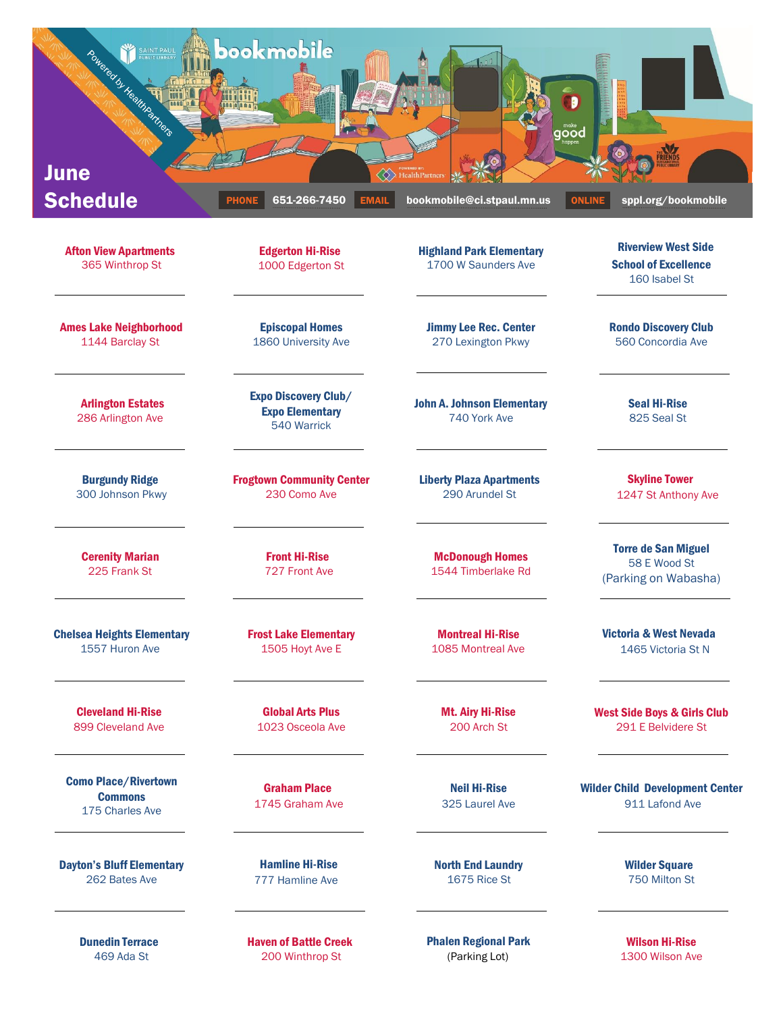

Dunedin Terrace 469 Ada St

Haven of Battle Creek 200 Winthrop St

Phalen Regional Park (Parking Lot)

Wilson Hi-Rise 1300 Wilson Ave